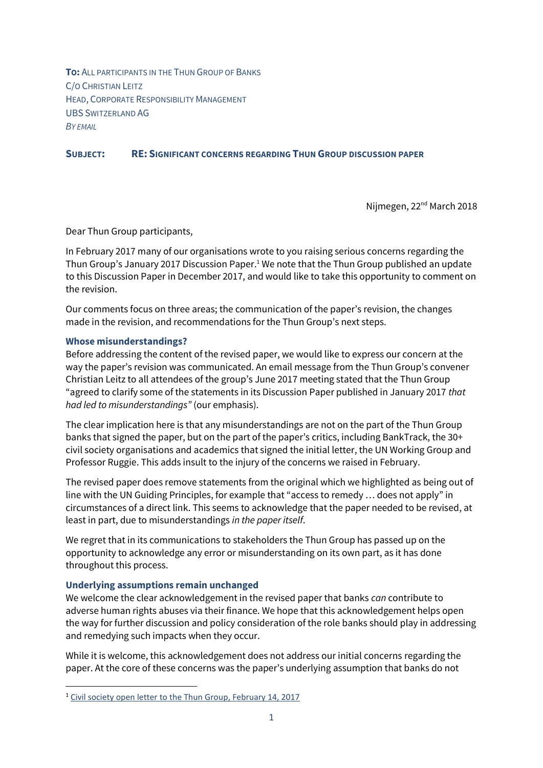**TO:** ALL PARTICIPANTS IN THE THUN GROUP OF BANKS C/O CHRISTIAN LEITZ HEAD, CORPORATE RESPONSIBILITY MANAGEMENT UBS SWITZERLAND AG *BY EMAIL*

### **SUBJECT: RE: SIGNIFICANT CONCERNS REGARDING THUN GROUP DISCUSSION PAPER**

Nijmegen, 22<sup>nd</sup> March 2018

Dear Thun Group participants,

In February 2017 many of our organisations wrote to you raising serious concerns regarding the Thun Group's January 2017 Discussion Paper.<sup>1</sup> We note that the Thun Group published an update to this Discussion Paper in December 2017, and would like to take this opportunity to comment on the revision.

Our comments focus on three areas; the communication of the paper's revision, the changes made in the revision, and recommendations for the Thun Group's next steps.

#### **Whose misunderstandings?**

Before addressing the content of the revised paper, we would like to express our concern at the way the paper's revision was communicated. An email message from the Thun Group's convener Christian Leitz to all attendees of the group's June 2017 meeting stated that the Thun Group "agreed to clarify some of the statements in its Discussion Paper published in January 2017 *that had led to misunderstandings"* (our emphasis).

The clear implication here is that any misunderstandings are not on the part of the Thun Group banks that signed the paper, but on the part of the paper's critics, including BankTrack, the 30+ civil society organisations and academics that signed the initial letter, the UN Working Group and Professor Ruggie. This adds insult to the injury of the concerns we raised in February.

The revised paper does remove statements from the original which we highlighted as being out of line with the UN Guiding Principles, for example that "access to remedy … does not apply" in circumstances of a direct link. This seems to acknowledge that the paper needed to be revised, at least in part, due to misunderstandings *in the paper itself*.

We regret that in its communications to stakeholders the Thun Group has passed up on the opportunity to acknowledge any error or misunderstanding on its own part, as it has done throughout this process.

#### **Underlying assumptions remain unchanged**

**.** 

We welcome the clear acknowledgement in the revised paper that banks *can* contribute to adverse human rights abuses via their finance. We hope that this acknowledgement helps open the way for further discussion and policy consideration of the role banks should play in addressing and remedying such impacts when they occur.

While it is welcome, this acknowledgement does not address our initial concerns regarding the paper. At the core of these concerns was the paper's underlying assumption that banks do not

<sup>1</sup> Civil society open letter [to the Thun Group, February 14, 2017](https://www.business-humanrights.org/sites/default/files/documents/170214_Open_letter_to_Thun_Group.pdf)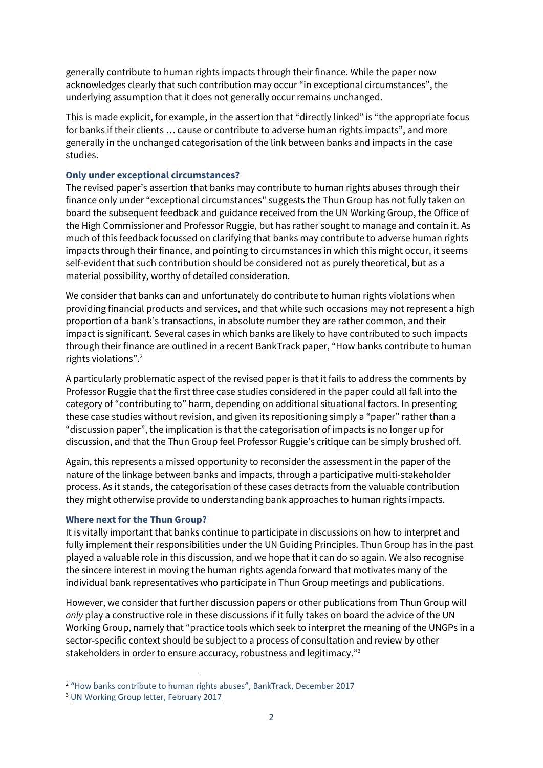generally contribute to human rights impacts through their finance. While the paper now acknowledges clearly that such contribution may occur "in exceptional circumstances", the underlying assumption that it does not generally occur remains unchanged.

This is made explicit, for example, in the assertion that "directly linked" is "the appropriate focus for banks if their clients … cause or contribute to adverse human rights impacts", and more generally in the unchanged categorisation of the link between banks and impacts in the case studies.

# **Only under exceptional circumstances?**

The revised paper's assertion that banks may contribute to human rights abuses through their finance only under "exceptional circumstances" suggests the Thun Group has not fully taken on board the subsequent feedback and guidance received from the UN Working Group, the Office of the High Commissioner and Professor Ruggie, but has rather sought to manage and contain it. As much of this feedback focussed on clarifying that banks may contribute to adverse human rights impacts through their finance, and pointing to circumstances in which this might occur, it seems self-evident that such contribution should be considered not as purely theoretical, but as a material possibility, worthy of detailed consideration.

We consider that banks can and unfortunately do contribute to human rights violations when providing financial products and services, and that while such occasions may not represent a high proportion of a bank's transactions, in absolute number they are rather common, and their impact is significant. Several cases in which banks are likely to have contributed to such impacts through their finance are outlined in a recent BankTrack paper, "How banks contribute to human rights violations".<sup>2</sup>

A particularly problematic aspect of the revised paper is that it fails to address the comments by Professor Ruggie that the first three case studies considered in the paper could all fall into the category of "contributing to" harm, depending on additional situational factors. In presenting these case studies without revision, and given its repositioning simply a "paper" rather than a "discussion paper", the implication is that the categorisation of impacts is no longer up for discussion, and that the Thun Group feel Professor Ruggie's critique can be simply brushed off.

Again, this represents a missed opportunity to reconsider the assessment in the paper of the nature of the linkage between banks and impacts, through a participative multi-stakeholder process. As it stands, the categorisation of these cases detracts from the valuable contribution they might otherwise provide to understanding bank approaches to human rights impacts.

## **Where next for the Thun Group?**

It is vitally important that banks continue to participate in discussions on how to interpret and fully implement their responsibilities under the UN Guiding Principles. Thun Group has in the past played a valuable role in this discussion, and we hope that it can do so again. We also recognise the sincere interest in moving the human rights agenda forward that motivates many of the individual bank representatives who participate in Thun Group meetings and publications.

However, we consider that further discussion papers or other publications from Thun Group will *only* play a constructive role in these discussions if it fully takes on board the advice of the UN Working Group, namely that "practice tools which seek to interpret the meaning of the UNGPs in a sector-specific context should be subject to a process of consultation and review by other stakeholders in order to ensure accuracy, robustness and legitimacy."<sup>3</sup>

 $\overline{a}$ 

<sup>&</sup>lt;sup>2</sup> "[How banks contribute to human rights abuses](https://www.banktrack.org/news/new_briefing_paper_how_banks_contribute_to_human_rights_abuses)", BankTrack, December 2017

<sup>3</sup> UN Working Group [letter, February 2017](https://business-humanrights.org/sites/default/files/documents/20170223%20WG%20BHR%20letter%20to%20Thun%20Group.pdf)